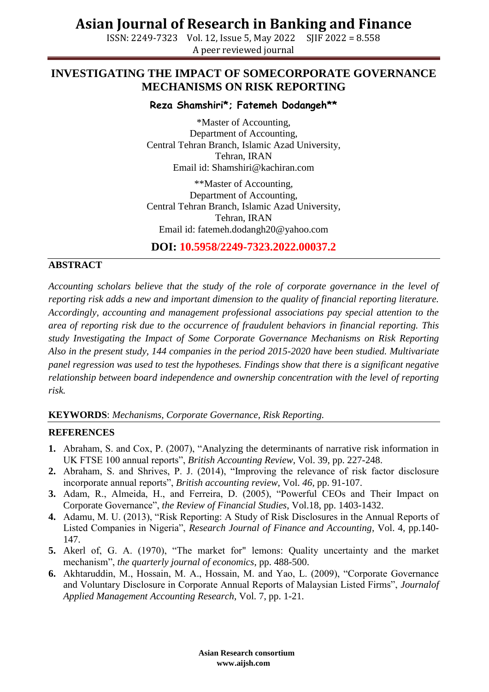ISSN: 2249-7323 Vol. 12, Issue 5, May 2022 SJIF 2022 = 8.558 A peer reviewed journal

### **INVESTIGATING THE IMPACT OF SOMECORPORATE GOVERNANCE MECHANISMS ON RISK REPORTING**

#### **Reza Shamshiri\*; Fatemeh Dodangeh\*\***

\*Master of Accounting, Department of Accounting, Central Tehran Branch, Islamic Azad University, Tehran, IRAN Email id: Shamshiri@kachiran.com

\*\*Master of Accounting, Department of Accounting, Central Tehran Branch, Islamic Azad University, Tehran, IRAN Email id: fatemeh.dodangh20@yahoo.com

**DOI: 10.5958/2249-7323.2022.00037.2**

#### **ABSTRACT**

*Accounting scholars believe that the study of the role of corporate governance in the level of reporting risk adds a new and important dimension to the quality of financial reporting literature. Accordingly, accounting and management professional associations pay special attention to the area of reporting risk due to the occurrence of fraudulent behaviors in financial reporting. This study Investigating the Impact of Some Corporate Governance Mechanisms on Risk Reporting Also in the present study, 144 companies in the period 2015-2020 have been studied. Multivariate panel regression was used to test the hypotheses. Findings show that there is a significant negative relationship between board independence and ownership concentration with the level of reporting risk.*

**KEYWORDS**: *Mechanisms, Corporate Governance, Risk Reporting.*

#### **REFERENCES**

- **1.** Abraham, S. and Cox, P. (2007), "Analyzing the determinants of narrative risk information in UK FTSE 100 annual reports", *British Accounting Review*, Vol. 39, pp. 227-248.
- **2.** Abraham, S. and Shrives, P. J. (2014), "Improving the relevance of risk factor disclosure incorporate annual reports", *British accounting review*, Vol. *46*, pp. 91-107.
- **3.** Adam, R., Almeida, H., and Ferreira, D. (2005), "Powerful CEOs and Their Impact on Corporate Governance", *the Review of Financial Studies*, Vol.18, pp. 1403-1432.
- **4.** Adamu, M. U. (2013), "Risk Reporting: A Study of Risk Disclosures in the Annual Reports of Listed Companies in Nigeria", *Research Journal of Finance and Accounting*, Vol. 4, pp.140- 147.
- **5.** Akerl of, G. A. (1970), "The market for" lemons: Quality uncertainty and the market mechanism", *the quarterly journal of economics*, pp. 488-500.
- **6.** Akhtaruddin, M., Hossain, M. A., Hossain, M. and Yao, L. (2009), "Corporate Governance and Voluntary Disclosure in Corporate Annual Reports of Malaysian Listed Firms", *Journalof Applied Management Accounting Research*, Vol. 7, pp. 1-21.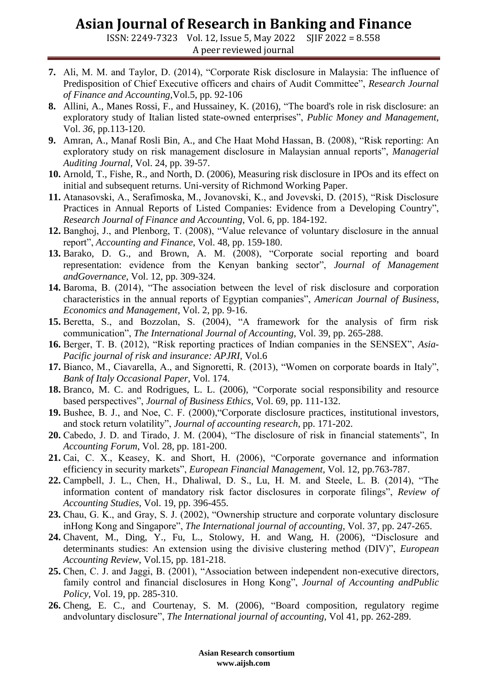ISSN: 2249-7323 Vol. 12, Issue 5, May 2022 SJIF 2022 = 8.558 A peer reviewed journal

- **7.** Ali, M. M. and Taylor, D. (2014), "Corporate Risk disclosure in Malaysia: The influence of Predisposition of Chief Executive officers and chairs of Audit Committee", *Research Journal of Finance and Accounting,*Vol.5, pp. 92-106
- **8.** Allini, A., Manes Rossi, F., and Hussainey, K. (2016), "The board's role in risk disclosure: an exploratory study of Italian listed state-owned enterprises", *Public Money and Management*, Vol. *36*, pp.113-120.
- **9.** Amran, A., Manaf Rosli Bin, A., and Che Haat Mohd Hassan, B. (2008), "Risk reporting: An exploratory study on risk management disclosure in Malaysian annual reports", *Managerial Auditing Journal*, Vol. 24, pp. 39-57.
- **10.** Arnold, T., Fishe, R., and North, D. (2006), Measuring risk disclosure in IPOs and its effect on initial and subsequent returns. Uni-versity of Richmond Working Paper.
- **11.** Atanasovski, A., Serafimoska, M., Jovanovski, K., and Jovevski, D. (2015), "Risk Disclosure Practices in Annual Reports of Listed Companies: Evidence from a Developing Country", *Research Journal of Finance and Accounting*, Vol. 6, pp. 184-192.
- **12.** Banghoj, J., and Plenborg, T. (2008), "Value relevance of voluntary disclosure in the annual report", *Accounting and Finance*, Vol. 48, pp. 159-180.
- **13.** Barako, D. G., and Brown, A. M. (2008), "Corporate social reporting and board representation: evidence from the Kenyan banking sector", *Journal of Management andGovernance*, Vol. 12, pp. 309-324.
- **14.** Baroma, B. (2014), "The association between the level of risk disclosure and corporation characteristics in the annual reports of Egyptian companies", *American Journal of Business*, *Economics and Management*, Vol. 2, pp. 9-16.
- **15.** Beretta, S., and Bozzolan, S. (2004), "A framework for the analysis of firm risk communication", *The International Journal of Accounting*, Vol. 39, pp. 265-288.
- **16.** Berger, T. B. (2012), "Risk reporting practices of Indian companies in the SENSEX", *Asia-Pacific journal of risk and insurance: APJRI,* Vol.6
- **17.** Bianco, M., Ciavarella, A., and Signoretti, R. (2013), "Women on corporate boards in Italy", *Bank of Italy Occasional Paper*, Vol. 174.
- **18.** Branco, M. C. and Rodrigues, L. L. (2006), "Corporate social responsibility and resource based perspectives", *Journal of Business Ethics*, Vol. 69, pp. 111-132.
- **19.** Bushee, B. J., and Noe, C. F. (2000),"Corporate disclosure practices, institutional investors, and stock return volatility", *Journal of accounting research*, pp. 171-202.
- **20.** Cabedo, J. D. and Tirado, J. M. (2004), "The disclosure of risk in financial statements", In *Accounting Forum*, Vol. 28, pp. 181-200.
- **21.** Cai, C. X., Keasey, K. and Short, H. (2006), "Corporate governance and information efficiency in security markets", *European Financial Management*, Vol. 12, pp.763-787.
- **22.** Campbell, J. L., Chen, H., Dhaliwal, D. S., Lu, H. M. and Steele, L. B. (2014), "The information content of mandatory risk factor disclosures in corporate filings", *Review of Accounting Studies*, Vol. 19, pp. 396-455.
- **23.** Chau, G. K., and Gray, S. J. (2002), "Ownership structure and corporate voluntary disclosure inHong Kong and Singapore", *The International journal of accounting*, Vol. 37, pp. 247-265.
- **24.** Chavent, M., Ding, Y., Fu, L., Stolowy, H. and Wang, H. (2006), "Disclosure and determinants studies: An extension using the divisive clustering method (DIV)", *European Accounting Review*, Vol*.*15, pp. 181-218.
- **25.** Chen, C. J. and Jaggi, B. (2001), "Association between independent non-executive directors, family control and financial disclosures in Hong Kong", *Journal of Accounting andPublic Policy*, Vol. 19, pp. 285-310.
- **26.** Cheng, E. C., and Courtenay, S. M. (2006), "Board composition, regulatory regime andvoluntary disclosure", *The International journal of accounting*, Vol 41, pp. 262-289.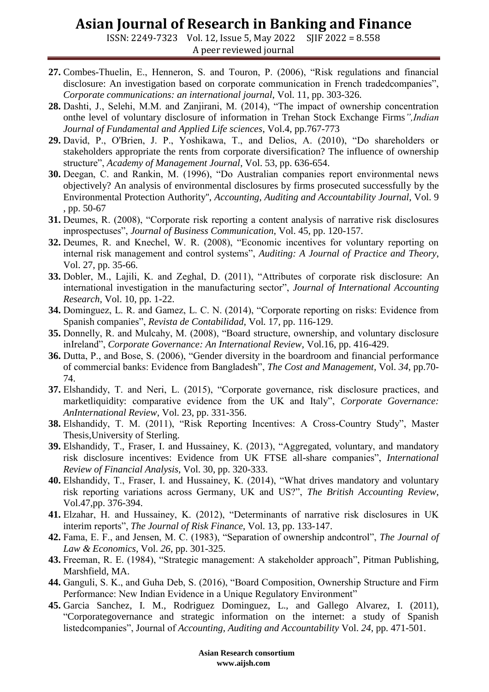ISSN: 2249-7323 Vol. 12, Issue 5, May 2022 SJIF 2022 = 8.558 A peer reviewed journal

- **27.** Combes-Thuelin, E., Henneron, S. and Touron, P. (2006), "Risk regulations and financial disclosure: An investigation based on corporate communication in French tradedcompanies", *Corporate communications: an international journal*, Vol. 11, pp. 303-326.
- **28.** Dashti, J., Selehi, M.M. and Zanjirani, M. (2014), "The impact of ownership concentration onthe level of voluntary disclosure of information in Trehan Stock Exchange Firms*",Indian Journal of Fundamental and Applied Life sciences*, Vol.4, pp.767-773
- **29.** David, P., O'Brien, J. P., Yoshikawa, T., and Delios, A. (2010), "Do shareholders or stakeholders appropriate the rents from corporate diversification? The influence of ownership structure", *Academy of Management Journal*, Vol. 53, pp. 636-654.
- **30.** Deegan, C. and Rankin, M. (1996), "Do Australian companies report environmental news objectively? An analysis of environmental disclosures by firms prosecuted successfully by the Environmental Protection Authority'', *Accounting, Auditing and Accountability Journal*, Vol. 9 , pp. 50-67
- **31.** Deumes, R. (2008), "Corporate risk reporting a content analysis of narrative risk disclosures inprospectuses", *Journal of Business Communication*, Vol. 45, pp. 120-157.
- **32.** Deumes, R. and Knechel, W. R. (2008), "Economic incentives for voluntary reporting on internal risk management and control systems", *Auditing: A Journal of Practice and Theory*, Vol. 27, pp. 35-66.
- **33.** Dobler, M., Lajili, K. and Zeghal, D. (2011), "Attributes of corporate risk disclosure: An international investigation in the manufacturing sector", *Journal of International Accounting Research*, Vol. 10, pp. 1-22.
- **34.** Dominguez, L. R. and Gamez, L. C. N. (2014), "Corporate reporting on risks: Evidence from Spanish companies", *Revista de Contabilidad*, Vol. 17, pp. 116-129.
- **35.** Donnelly, R. and Mulcahy, M. (2008), "Board structure, ownership, and voluntary disclosure inIreland", *Corporate Governance: An International Review*, Vol.16, pp. 416-429.
- **36.** Dutta, P., and Bose, S. (2006), "Gender diversity in the boardroom and financial performance of commercial banks: Evidence from Bangladesh", *The Cost and Management*, Vol. *34*, pp.70- 74.
- **37.** Elshandidy, T. and Neri, L. (2015), "Corporate governance, risk disclosure practices, and marketliquidity: comparative evidence from the UK and Italy", *Corporate Governance: AnInternational Review*, Vol. 23, pp. 331-356.
- **38.** Elshandidy, T. M. (2011), "Risk Reporting Incentives: A Cross-Country Study", Master Thesis,University of Sterling.
- **39.** Elshandidy, T., Fraser, I. and Hussainey, K. (2013), "Aggregated, voluntary, and mandatory risk disclosure incentives: Evidence from UK FTSE all-share companies", *International Review of Financial Analysis*, Vol. 30, pp. 320-333.
- **40.** Elshandidy, T., Fraser, I. and Hussainey, K. (2014), "What drives mandatory and voluntary risk reporting variations across Germany, UK and US?", *The British Accounting Review*, Vol.47,pp. 376-394.
- **41.** Elzahar, H. and Hussainey, K. (2012), "Determinants of narrative risk disclosures in UK interim reports", *The Journal of Risk Finance*, Vol. 13, pp. 133-147.
- **42.** Fama, E. F., and Jensen, M. C. (1983), "Separation of ownership andcontrol", *The Journal of Law & Economics*, Vol. *26*, pp. 301-325.
- **43.** Freeman, R. E. (1984), "Strategic management: A stakeholder approach", Pitman Publishing, Marshfield, MA.
- **44.** Ganguli, S. K., and Guha Deb, S. (2016), "Board Composition, Ownership Structure and Firm Performance: New Indian Evidence in a Unique Regulatory Environment"
- **45.** Garcia Sanchez, I. M., Rodriguez Dominguez, L., and Gallego Alvarez, I. (2011), "Corporategovernance and strategic information on the internet: a study of Spanish listedcompanies", Journal of *Accounting, Auditing and Accountability* Vol. *24*, pp. 471-501.